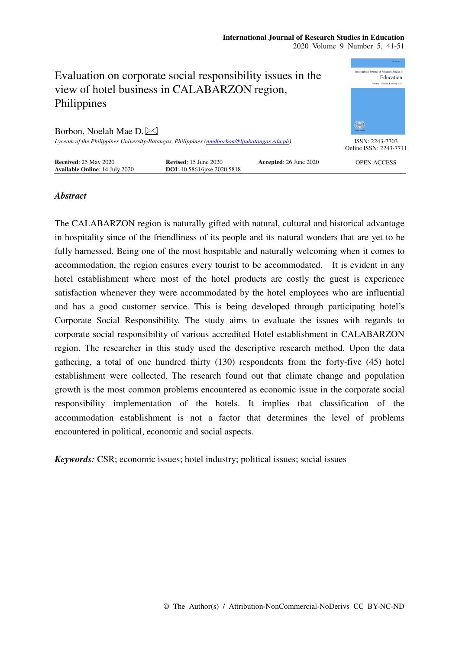#### **International Journal of Research Studies in Education**  2020 Volume 9 Number 5, 41-51



# *Abstract*

The CALABARZON region is naturally gifted with natural, cultural and historical advantage in hospitality since of the friendliness of its people and its natural wonders that are yet to be fully harnessed. Being one of the most hospitable and naturally welcoming when it comes to accommodation, the region ensures every tourist to be accommodated. It is evident in any hotel establishment where most of the hotel products are costly the guest is experience satisfaction whenever they were accommodated by the hotel employees who are influential and has a good customer service. This is being developed through participating hotel's Corporate Social Responsibility. The study aims to evaluate the issues with regards to corporate social responsibility of various accredited Hotel establishment in CALABARZON region. The researcher in this study used the descriptive research method. Upon the data gathering, a total of one hundred thirty (130) respondents from the forty-five (45) hotel establishment were collected. The research found out that climate change and population growth is the most common problems encountered as economic issue in the corporate social responsibility implementation of the hotels. It implies that classification of the accommodation establishment is not a factor that determines the level of problems encountered in political, economic and social aspects.

*Keywords:* CSR; economic issues; hotel industry; political issues; social issues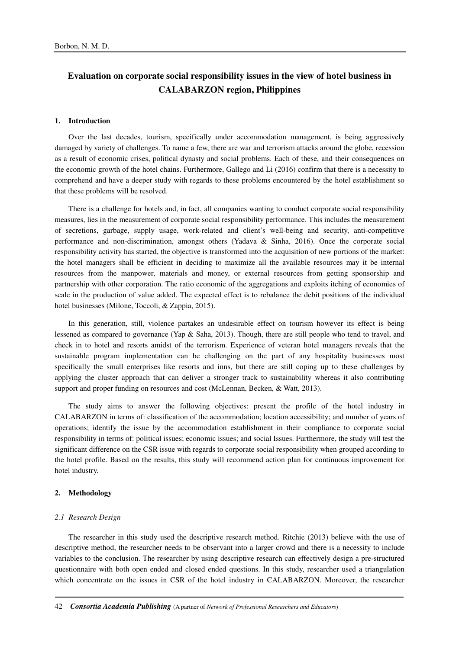# **Evaluation on corporate social responsibility issues in the view of hotel business in CALABARZON region, Philippines**

#### **1. Introduction**

Over the last decades, tourism, specifically under accommodation management, is being aggressively damaged by variety of challenges. To name a few, there are war and terrorism attacks around the globe, recession as a result of economic crises, political dynasty and social problems. Each of these, and their consequences on the economic growth of the hotel chains. Furthermore, Gallego and Li (2016) confirm that there is a necessity to comprehend and have a deeper study with regards to these problems encountered by the hotel establishment so that these problems will be resolved.

There is a challenge for hotels and, in fact, all companies wanting to conduct corporate social responsibility measures, lies in the measurement of corporate social responsibility performance. This includes the measurement of secretions, garbage, supply usage, work-related and client's well-being and security, anti-competitive performance and non-discrimination, amongst others (Yadava & Sinha, 2016). Once the corporate social responsibility activity has started, the objective is transformed into the acquisition of new portions of the market: the hotel managers shall be efficient in deciding to maximize all the available resources may it be internal resources from the manpower, materials and money, or external resources from getting sponsorship and partnership with other corporation. The ratio economic of the aggregations and exploits itching of economies of scale in the production of value added. The expected effect is to rebalance the debit positions of the individual hotel businesses (Milone, Toccoli, & Zappia, 2015).

In this generation, still, violence partakes an undesirable effect on tourism however its effect is being lessened as compared to governance (Yap & Saha, 2013). Though, there are still people who tend to travel, and check in to hotel and resorts amidst of the terrorism. Experience of veteran hotel managers reveals that the sustainable program implementation can be challenging on the part of any hospitality businesses most specifically the small enterprises like resorts and inns, but there are still coping up to these challenges by applying the cluster approach that can deliver a stronger track to sustainability whereas it also contributing support and proper funding on resources and cost (McLennan, Becken, & Watt, 2013).

The study aims to answer the following objectives: present the profile of the hotel industry in CALABARZON in terms of: classification of the accommodation; location accessibility; and number of years of operations; identify the issue by the accommodation establishment in their compliance to corporate social responsibility in terms of: political issues; economic issues; and social Issues. Furthermore, the study will test the significant difference on the CSR issue with regards to corporate social responsibility when grouped according to the hotel profile. Based on the results, this study will recommend action plan for continuous improvement for hotel industry.

## **2. Methodology**

#### *2.1 Research Design*

The researcher in this study used the descriptive research method. Ritchie (2013) believe with the use of descriptive method, the researcher needs to be observant into a larger crowd and there is a necessity to include variables to the conclusion. The researcher by using descriptive research can effectively design a pre-structured questionnaire with both open ended and closed ended questions. In this study, researcher used a triangulation which concentrate on the issues in CSR of the hotel industry in CALABARZON. Moreover, the researcher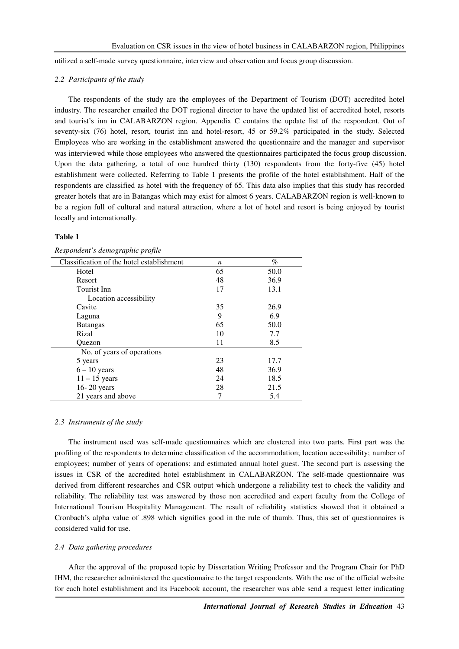utilized a self-made survey questionnaire, interview and observation and focus group discussion.

#### *2.2 Participants of the study*

The respondents of the study are the employees of the Department of Tourism (DOT) accredited hotel industry. The researcher emailed the DOT regional director to have the updated list of accredited hotel, resorts and tourist's inn in CALABARZON region. Appendix C contains the update list of the respondent. Out of seventy-six (76) hotel, resort, tourist inn and hotel-resort, 45 or 59.2% participated in the study. Selected Employees who are working in the establishment answered the questionnaire and the manager and supervisor was interviewed while those employees who answered the questionnaires participated the focus group discussion. Upon the data gathering, a total of one hundred thirty (130) respondents from the forty-five (45) hotel establishment were collected. Referring to Table 1 presents the profile of the hotel establishment. Half of the respondents are classified as hotel with the frequency of 65. This data also implies that this study has recorded greater hotels that are in Batangas which may exist for almost 6 years. CALABARZON region is well-known to be a region full of cultural and natural attraction, where a lot of hotel and resort is being enjoyed by tourist locally and internationally.

#### **Table 1**

| Classification of the hotel establishment | $\boldsymbol{n}$ | $\%$ |
|-------------------------------------------|------------------|------|
| Hotel                                     | 65               | 50.0 |
| Resort                                    | 48               | 36.9 |
| Tourist Inn                               | 17               | 13.1 |
| Location accessibility                    |                  |      |
| Cavite                                    | 35               | 26.9 |
| Laguna                                    | 9                | 6.9  |
| <b>Batangas</b>                           | 65               | 50.0 |
| Rizal                                     | 10               | 7.7  |
| Ouezon                                    | 11               | 8.5  |
| No. of years of operations                |                  |      |
| 5 years                                   | 23               | 17.7 |
| $6 - 10$ years                            | 48               | 36.9 |
| $11 - 15$ years                           | 24               | 18.5 |
| 16-20 years                               | 28               | 21.5 |
| 21 years and above                        |                  | 5.4  |

# *Respondent's demographic profile*

#### *2.3 Instruments of the study*

The instrument used was self-made questionnaires which are clustered into two parts. First part was the profiling of the respondents to determine classification of the accommodation; location accessibility; number of employees; number of years of operations: and estimated annual hotel guest. The second part is assessing the issues in CSR of the accredited hotel establishment in CALABARZON. The self-made questionnaire was derived from different researches and CSR output which undergone a reliability test to check the validity and reliability. The reliability test was answered by those non accredited and expert faculty from the College of International Tourism Hospitality Management. The result of reliability statistics showed that it obtained a Cronbach's alpha value of .898 which signifies good in the rule of thumb. Thus, this set of questionnaires is considered valid for use.

# *2.4 Data gathering procedures*

After the approval of the proposed topic by Dissertation Writing Professor and the Program Chair for PhD IHM, the researcher administered the questionnaire to the target respondents. With the use of the official website for each hotel establishment and its Facebook account, the researcher was able send a request letter indicating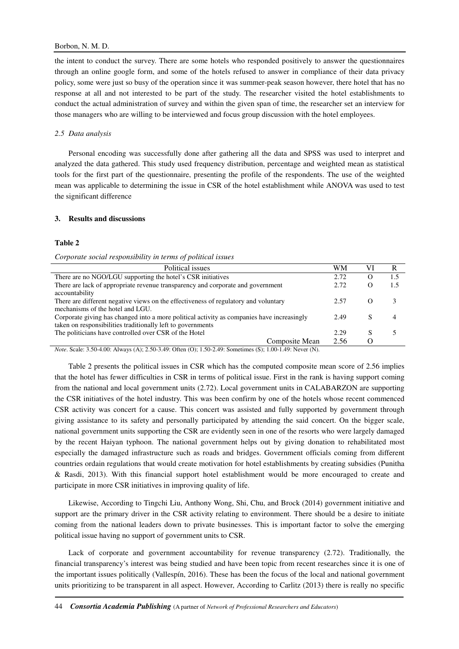the intent to conduct the survey. There are some hotels who responded positively to answer the questionnaires through an online google form, and some of the hotels refused to answer in compliance of their data privacy policy, some were just so busy of the operation since it was summer-peak season however, there hotel that has no response at all and not interested to be part of the study. The researcher visited the hotel establishments to conduct the actual administration of survey and within the given span of time, the researcher set an interview for those managers who are willing to be interviewed and focus group discussion with the hotel employees.

# *2.5 Data analysis*

Personal encoding was successfully done after gathering all the data and SPSS was used to interpret and analyzed the data gathered. This study used frequency distribution, percentage and weighted mean as statistical tools for the first part of the questionnaire, presenting the profile of the respondents. The use of the weighted mean was applicable to determining the issue in CSR of the hotel establishment while ANOVA was used to test the significant difference

# **3. Results and discussions**

## **Table 2**

#### *Corporate social responsibility in terms of political issues*

| Political issues                                                                                                                                          | WM   |   |     |
|-----------------------------------------------------------------------------------------------------------------------------------------------------------|------|---|-----|
| There are no NGO/LGU supporting the hotel's CSR initiatives                                                                                               | 2.72 | O | 1.5 |
| There are lack of appropriate revenue transparency and corporate and government<br>accountability                                                         | 2.72 | O | 1.5 |
| There are different negative views on the effectiveness of regulatory and voluntary<br>mechanisms of the hotel and LGU.                                   | 2.57 | O |     |
| Corporate giving has changed into a more political activity as companies have increasingly<br>taken on responsibilities traditionally left to governments | 2.49 | S | 4   |
| The politicians have controlled over CSR of the Hotel                                                                                                     | 2.29 |   |     |
| Composite Mean                                                                                                                                            | 2.56 |   |     |

*Note*. Scale: 3.50-4.00: Always (A); 2.50-3.49: Often (O); 1.50-2.49: Sometimes (S); 1.00-1.49: Never (N).

Table 2 presents the political issues in CSR which has the computed composite mean score of 2.56 implies that the hotel has fewer difficulties in CSR in terms of political issue. First in the rank is having support coming from the national and local government units (2.72). Local government units in CALABARZON are supporting the CSR initiatives of the hotel industry. This was been confirm by one of the hotels whose recent commenced CSR activity was concert for a cause. This concert was assisted and fully supported by government through giving assistance to its safety and personally participated by attending the said concert. On the bigger scale, national government units supporting the CSR are evidently seen in one of the resorts who were largely damaged by the recent Haiyan typhoon. The national government helps out by giving donation to rehabilitated most especially the damaged infrastructure such as roads and bridges. Government officials coming from different countries ordain regulations that would create motivation for hotel establishments by creating subsidies (Punitha & Rasdi, 2013). With this financial support hotel establishment would be more encouraged to create and participate in more CSR initiatives in improving quality of life.

Likewise, According to Tingchi Liu, Anthony Wong, Shi, Chu, and Brock (2014) government initiative and support are the primary driver in the CSR activity relating to environment. There should be a desire to initiate coming from the national leaders down to private businesses. This is important factor to solve the emerging political issue having no support of government units to CSR.

Lack of corporate and government accountability for revenue transparency (2.72). Traditionally, the financial transparency's interest was being studied and have been topic from recent researches since it is one of the important issues politically (Vallespín, 2016). These has been the focus of the local and national government units prioritizing to be transparent in all aspect. However, According to Carlitz (2013) there is really no specific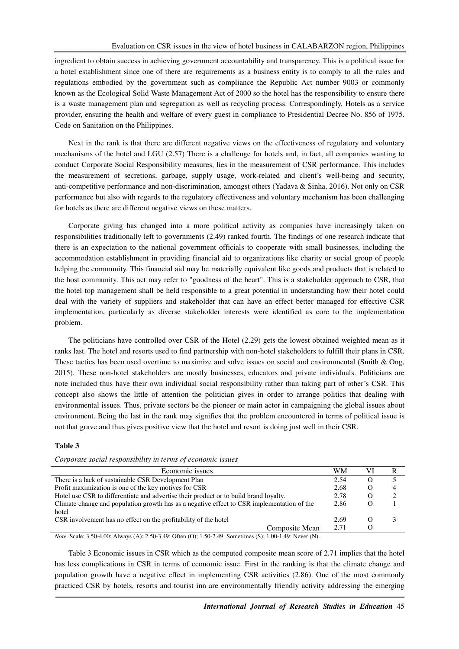ingredient to obtain success in achieving government accountability and transparency. This is a political issue for a hotel establishment since one of there are requirements as a business entity is to comply to all the rules and regulations embodied by the government such as compliance the Republic Act number 9003 or commonly known as the Ecological Solid Waste Management Act of 2000 so the hotel has the responsibility to ensure there is a waste management plan and segregation as well as recycling process. Correspondingly, Hotels as a service provider, ensuring the health and welfare of every guest in compliance to Presidential Decree No. 856 of 1975. Code on Sanitation on the Philippines.

Next in the rank is that there are different negative views on the effectiveness of regulatory and voluntary mechanisms of the hotel and LGU (2.57) There is a challenge for hotels and, in fact, all companies wanting to conduct Corporate Social Responsibility measures, lies in the measurement of CSR performance. This includes the measurement of secretions, garbage, supply usage, work-related and client's well-being and security, anti-competitive performance and non-discrimination, amongst others (Yadava & Sinha, 2016). Not only on CSR performance but also with regards to the regulatory effectiveness and voluntary mechanism has been challenging for hotels as there are different negative views on these matters.

Corporate giving has changed into a more political activity as companies have increasingly taken on responsibilities traditionally left to governments (2.49) ranked fourth. The findings of one research indicate that there is an expectation to the national government officials to cooperate with small businesses, including the accommodation establishment in providing financial aid to organizations like charity or social group of people helping the community. This financial aid may be materially equivalent like goods and products that is related to the host community. This act may refer to "goodness of the heart". This is a stakeholder approach to CSR, that the hotel top management shall be held responsible to a great potential in understanding how their hotel could deal with the variety of suppliers and stakeholder that can have an effect better managed for effective CSR implementation, particularly as diverse stakeholder interests were identified as core to the implementation problem.

The politicians have controlled over CSR of the Hotel (2.29) gets the lowest obtained weighted mean as it ranks last. The hotel and resorts used to find partnership with non-hotel stakeholders to fulfill their plans in CSR. These tactics has been used overtime to maximize and solve issues on social and environmental (Smith & Ong, 2015). These non-hotel stakeholders are mostly businesses, educators and private individuals. Politicians are note included thus have their own individual social responsibility rather than taking part of other's CSR. This concept also shows the little of attention the politician gives in order to arrange politics that dealing with environmental issues. Thus, private sectors be the pioneer or main actor in campaigning the global issues about environment. Being the last in the rank may signifies that the problem encountered in terms of political issue is not that grave and thus gives positive view that the hotel and resort is doing just well in their CSR.

# **Table 3**

*Corporate social responsibility in terms of economic issues* 

| Economic issues                                                                                             | WМ   |            |   |  |  |
|-------------------------------------------------------------------------------------------------------------|------|------------|---|--|--|
| There is a lack of sustainable CSR Development Plan                                                         | 2.54 | $\epsilon$ |   |  |  |
| Profit maximization is one of the key motives for CSR                                                       | 2.68 |            | 4 |  |  |
| Hotel use CSR to differentiate and advertise their product or to build brand loyalty.                       | 2.78 |            |   |  |  |
| Climate change and population growth has as a negative effect to CSR implementation of the                  | 2.86 |            |   |  |  |
| hotel                                                                                                       |      |            |   |  |  |
| CSR involvement has no effect on the profitability of the hotel                                             | 2.69 |            |   |  |  |
| Composite Mean                                                                                              | 2.71 |            |   |  |  |
| $Nota$ , Scala: 3.50.4.00: Always (A): 2.50.3.40: Often (O): 1.50.2.40: Sometimes (S): 1.00.1.40: Never (N) |      |            |   |  |  |

*Note*. Scale: 3.50-4.00: Always (A); 2.50-3.49: Often (O); 1.50-2.49: Sometimes (S); 1.00-1.49: Never (N).

Table 3 Economic issues in CSR which as the computed composite mean score of 2.71 implies that the hotel has less complications in CSR in terms of economic issue. First in the ranking is that the climate change and population growth have a negative effect in implementing CSR activities (2.86). One of the most commonly practiced CSR by hotels, resorts and tourist inn are environmentally friendly activity addressing the emerging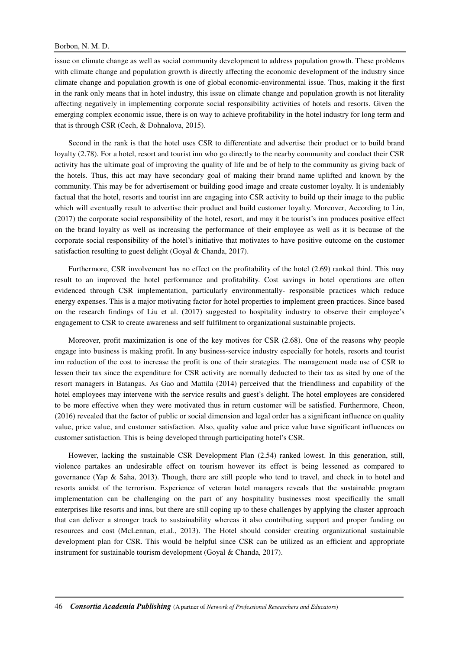## Borbon, N. M. D.

issue on climate change as well as social community development to address population growth. These problems with climate change and population growth is directly affecting the economic development of the industry since climate change and population growth is one of global economic-environmental issue. Thus, making it the first in the rank only means that in hotel industry, this issue on climate change and population growth is not literality affecting negatively in implementing corporate social responsibility activities of hotels and resorts. Given the emerging complex economic issue, there is on way to achieve profitability in the hotel industry for long term and that is through CSR (Cech, & Dohnalova, 2015).

Second in the rank is that the hotel uses CSR to differentiate and advertise their product or to build brand loyalty (2.78). For a hotel, resort and tourist inn who go directly to the nearby community and conduct their CSR activity has the ultimate goal of improving the quality of life and be of help to the community as giving back of the hotels. Thus, this act may have secondary goal of making their brand name uplifted and known by the community. This may be for advertisement or building good image and create customer loyalty. It is undeniably factual that the hotel, resorts and tourist inn are engaging into CSR activity to build up their image to the public which will eventually result to advertise their product and build customer loyalty. Moreover, According to Lin, (2017) the corporate social responsibility of the hotel, resort, and may it be tourist's inn produces positive effect on the brand loyalty as well as increasing the performance of their employee as well as it is because of the corporate social responsibility of the hotel's initiative that motivates to have positive outcome on the customer satisfaction resulting to guest delight (Goyal & Chanda, 2017).

Furthermore, CSR involvement has no effect on the profitability of the hotel (2.69) ranked third. This may result to an improved the hotel performance and profitability. Cost savings in hotel operations are often evidenced through CSR implementation, particularly environmentally- responsible practices which reduce energy expenses. This is a major motivating factor for hotel properties to implement green practices. Since based on the research findings of Liu et al. (2017) suggested to hospitality industry to observe their employee's engagement to CSR to create awareness and self fulfilment to organizational sustainable projects.

Moreover, profit maximization is one of the key motives for CSR (2.68). One of the reasons why people engage into business is making profit. In any business-service industry especially for hotels, resorts and tourist inn reduction of the cost to increase the profit is one of their strategies. The management made use of CSR to lessen their tax since the expenditure for CSR activity are normally deducted to their tax as sited by one of the resort managers in Batangas. As Gao and Mattila (2014) perceived that the friendliness and capability of the hotel employees may intervene with the service results and guest's delight. The hotel employees are considered to be more effective when they were motivated thus in return customer will be satisfied. Furthermore, Cheon, (2016) revealed that the factor of public or social dimension and legal order has a significant influence on quality value, price value, and customer satisfaction. Also, quality value and price value have significant influences on customer satisfaction. This is being developed through participating hotel's CSR.

However, lacking the sustainable CSR Development Plan (2.54) ranked lowest. In this generation, still, violence partakes an undesirable effect on tourism however its effect is being lessened as compared to governance (Yap & Saha, 2013). Though, there are still people who tend to travel, and check in to hotel and resorts amidst of the terrorism. Experience of veteran hotel managers reveals that the sustainable program implementation can be challenging on the part of any hospitality businesses most specifically the small enterprises like resorts and inns, but there are still coping up to these challenges by applying the cluster approach that can deliver a stronger track to sustainability whereas it also contributing support and proper funding on resources and cost (McLennan, et.al., 2013). The Hotel should consider creating organizational sustainable development plan for CSR. This would be helpful since CSR can be utilized as an efficient and appropriate instrument for sustainable tourism development (Goyal & Chanda, 2017).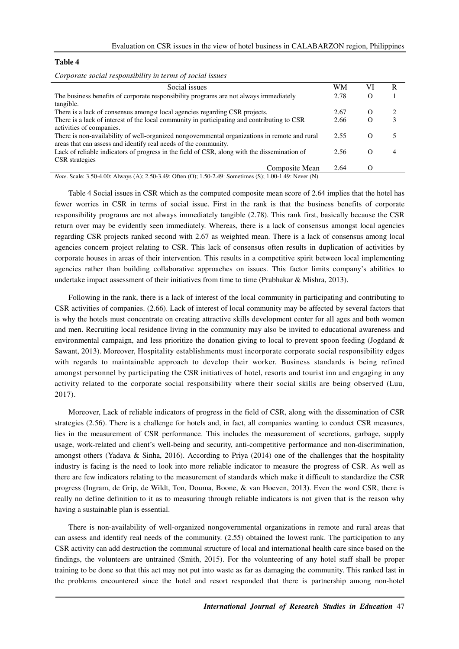#### **Table 4**

*Corporate social responsibility in terms of social issues* 

| Social issues                                                                                 | WM   |          | R |
|-----------------------------------------------------------------------------------------------|------|----------|---|
| The business benefits of corporate responsibility programs are not always immediately         | 2.78 |          |   |
| tangible.                                                                                     |      |          |   |
| There is a lack of consensus amongst local agencies regarding CSR projects.                   | 2.67 | $\Omega$ | ∍ |
| There is a lack of interest of the local community in participating and contributing to CSR   | 2.66 |          | 3 |
| activities of companies.                                                                      |      |          |   |
| There is non-availability of well-organized nongovernmental organizations in remote and rural | 2.55 |          |   |
| areas that can assess and identify real needs of the community.                               |      |          |   |
| Lack of reliable indicators of progress in the field of CSR, along with the dissemination of  | 2.56 |          | Δ |
| <b>CSR</b> strategies                                                                         |      |          |   |
| Composite Mean                                                                                | 2.64 |          |   |

*Note*. Scale: 3.50-4.00: Always (A); 2.50-3.49: Often (O); 1.50-2.49: Sometimes (S); 1.00-1.49: Never (N).

Table 4 Social issues in CSR which as the computed composite mean score of 2.64 implies that the hotel has fewer worries in CSR in terms of social issue. First in the rank is that the business benefits of corporate responsibility programs are not always immediately tangible (2.78). This rank first, basically because the CSR return over may be evidently seen immediately. Whereas, there is a lack of consensus amongst local agencies regarding CSR projects ranked second with 2.67 as weighted mean. There is a lack of consensus among local agencies concern project relating to CSR. This lack of consensus often results in duplication of activities by corporate houses in areas of their intervention. This results in a competitive spirit between local implementing agencies rather than building collaborative approaches on issues. This factor limits company's abilities to undertake impact assessment of their initiatives from time to time (Prabhakar & Mishra, 2013).

Following in the rank, there is a lack of interest of the local community in participating and contributing to CSR activities of companies. (2.66). Lack of interest of local community may be affected by several factors that is why the hotels must concentrate on creating attractive skills development center for all ages and both women and men. Recruiting local residence living in the community may also be invited to educational awareness and environmental campaign, and less prioritize the donation giving to local to prevent spoon feeding (Jogdand & Sawant, 2013). Moreover, Hospitality establishments must incorporate corporate social responsibility edges with regards to maintainable approach to develop their worker. Business standards is being refined amongst personnel by participating the CSR initiatives of hotel, resorts and tourist inn and engaging in any activity related to the corporate social responsibility where their social skills are being observed (Luu, 2017).

Moreover, Lack of reliable indicators of progress in the field of CSR, along with the dissemination of CSR strategies (2.56). There is a challenge for hotels and, in fact, all companies wanting to conduct CSR measures, lies in the measurement of CSR performance. This includes the measurement of secretions, garbage, supply usage, work-related and client's well-being and security, anti-competitive performance and non-discrimination, amongst others (Yadava & Sinha, 2016). According to Priya (2014) one of the challenges that the hospitality industry is facing is the need to look into more reliable indicator to measure the progress of CSR. As well as there are few indicators relating to the measurement of standards which make it difficult to standardize the CSR progress (Ingram, de Grip, de Wildt, Ton, Douma, Boone, & van Hoeven, 2013). Even the word CSR, there is really no define definition to it as to measuring through reliable indicators is not given that is the reason why having a sustainable plan is essential.

There is non-availability of well-organized nongovernmental organizations in remote and rural areas that can assess and identify real needs of the community. (2.55) obtained the lowest rank. The participation to any CSR activity can add destruction the communal structure of local and international health care since based on the findings, the volunteers are untrained (Smith, 2015). For the volunteering of any hotel staff shall be proper training to be done so that this act may not put into waste as far as damaging the community. This ranked last in the problems encountered since the hotel and resort responded that there is partnership among non-hotel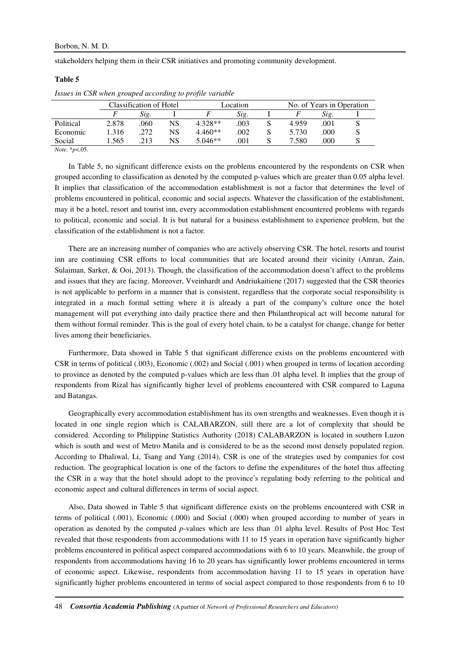stakeholders helping them in their CSR initiatives and promoting community development.

# **Table 5**

|           | Classification of Hotel |      |    | Location  |      |  | No. of Years in Operation |      |            |
|-----------|-------------------------|------|----|-----------|------|--|---------------------------|------|------------|
|           |                         | Sig. |    |           | Sig. |  |                           | Sig. |            |
| Political | 2.878                   | 060  | NS | 4.328**   | .003 |  | 4.959                     | .001 |            |
| Economic  | 1.316                   | .272 | NS | $4.460**$ | .002 |  | 5.730                     | .000 |            |
| Social    | .565                    | 213  | NS | $5.046**$ | 001  |  | 7.580                     | .000 | <b>N</b> 2 |
|           |                         |      |    |           |      |  |                           |      |            |

*Issues in CSR when grouped according to profile variable* 

*Note*. \**p*<.05.

In Table 5, no significant difference exists on the problems encountered by the respondents on CSR when grouped according to classification as denoted by the computed p-values which are greater than 0.05 alpha level. It implies that classification of the accommodation establishment is not a factor that determines the level of problems encountered in political, economic and social aspects. Whatever the classification of the establishment, may it be a hotel, resort and tourist inn, every accommodation establishment encountered problems with regards to political, economic and social. It is but natural for a business establishment to experience problem, but the classification of the establishment is not a factor.

There are an increasing number of companies who are actively observing CSR. The hotel, resorts and tourist inn are continuing CSR efforts to local communities that are located around their vicinity (Amran, Zain, Sulaiman, Sarker, & Ooi, 2013). Though, the classification of the accommodation doesn't affect to the problems and issues that they are facing. Moreover, Vveinhardt and Andriukaitiene (2017) suggested that the CSR theories is not applicable to perform in a manner that is consistent, regardless that the corporate social responsibility is integrated in a much formal setting where it is already a part of the company's culture once the hotel management will put everything into daily practice there and then Philanthropical act will become natural for them without formal reminder. This is the goal of every hotel chain, to be a catalyst for change, change for better lives among their beneficiaries.

Furthermore, Data showed in Table 5 that significant difference exists on the problems encountered with CSR in terms of political (.003), Economic (.002) and Social (.001) when grouped in terms of location according to province as denoted by the computed p-values which are less than .01 alpha level. It implies that the group of respondents from Rizal has significantly higher level of problems encountered with CSR compared to Laguna and Batangas.

Geographically every accommodation establishment has its own strengths and weaknesses. Even though it is located in one single region which is CALABARZON, still there are a lot of complexity that should be considered. According to Philippine Statistics Authority (2018) CALABARZON is located in southern Luzon which is south and west of Metro Manila and is considered to be as the second most densely populated region. According to Dhaliwal, Li, Tsang and Yang (2014), CSR is one of the strategies used by companies for cost reduction. The geographical location is one of the factors to define the expenditures of the hotel thus affecting the CSR in a way that the hotel should adopt to the province's regulating body referring to the political and economic aspect and cultural differences in terms of social aspect.

Also, Data showed in Table 5 that significant difference exists on the problems encountered with CSR in terms of political (.001), Economic (.000) and Social (.000) when grouped according to number of years in operation as denoted by the computed *p*-values which are less than .01 alpha level. Results of Post Hoc Test revealed that those respondents from accommodations with 11 to 15 years in operation have significantly higher problems encountered in political aspect compared accommodations with 6 to 10 years. Meanwhile, the group of respondents from accommodations having 16 to 20 years has significantly lower problems encountered in terms of economic aspect. Likewise, respondents from accommodation having 11 to 15 years in operation have significantly higher problems encountered in terms of social aspect compared to those respondents from 6 to 10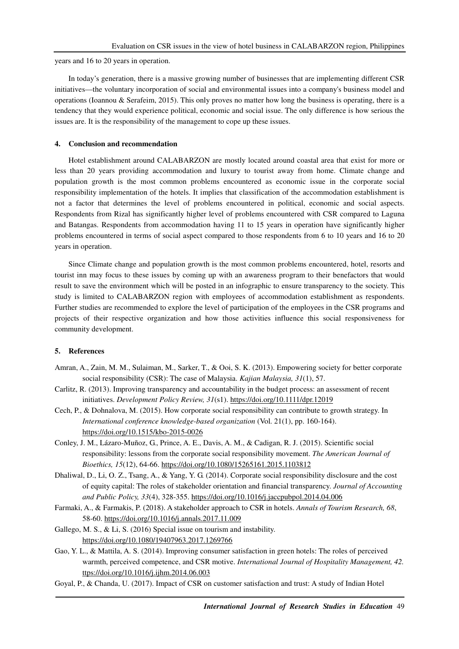years and 16 to 20 years in operation.

In today's generation, there is a massive growing number of businesses that are implementing different CSR initiatives—the voluntary incorporation of social and environmental issues into a company's business model and operations (Ioannou & Serafeim, 2015). This only proves no matter how long the business is operating, there is a tendency that they would experience political, economic and social issue. The only difference is how serious the issues are. It is the responsibility of the management to cope up these issues.

## **4. Conclusion and recommendation**

Hotel establishment around CALABARZON are mostly located around coastal area that exist for more or less than 20 years providing accommodation and luxury to tourist away from home. Climate change and population growth is the most common problems encountered as economic issue in the corporate social responsibility implementation of the hotels. It implies that classification of the accommodation establishment is not a factor that determines the level of problems encountered in political, economic and social aspects. Respondents from Rizal has significantly higher level of problems encountered with CSR compared to Laguna and Batangas. Respondents from accommodation having 11 to 15 years in operation have significantly higher problems encountered in terms of social aspect compared to those respondents from 6 to 10 years and 16 to 20 years in operation.

Since Climate change and population growth is the most common problems encountered, hotel, resorts and tourist inn may focus to these issues by coming up with an awareness program to their benefactors that would result to save the environment which will be posted in an infographic to ensure transparency to the society. This study is limited to CALABARZON region with employees of accommodation establishment as respondents. Further studies are recommended to explore the level of participation of the employees in the CSR programs and projects of their respective organization and how those activities influence this social responsiveness for community development.

# **5. References**

- Amran, A., Zain, M. M., Sulaiman, M., Sarker, T., & Ooi, S. K. (2013). Empowering society for better corporate social responsibility (CSR): The case of Malaysia. *Kajian Malaysia, 31*(1), 57.
- Carlitz, R. (2013). Improving transparency and accountability in the budget process: an assessment of recent initiatives. *Development Policy Review, 31*(s1). https://doi.org/10.1111/dpr.12019
- Cech, P., & Dohnalova, M. (2015). How corporate social responsibility can contribute to growth strategy. In *International conference knowledge-based organization* (Vol. 21(1), pp. 160-164). https://doi.org/10.1515/kbo-2015-0026
- Conley, J. M., Lázaro-Muñoz, G., Prince, A. E., Davis, A. M., & Cadigan, R. J. (2015). Scientific social responsibility: lessons from the corporate social responsibility movement. *The American Journal of Bioethics, 15*(12), 64-66. https://doi.org/10.1080/15265161.2015.1103812
- Dhaliwal, D., Li, O. Z., Tsang, A., & Yang, Y. G. (2014). Corporate social responsibility disclosure and the cost of equity capital: The roles of stakeholder orientation and financial transparency. *Journal of Accounting and Public Policy, 33*(4), 328-355. https://doi.org/10.1016/j.jaccpubpol.2014.04.006
- Farmaki, A., & Farmakis, P. (2018). A stakeholder approach to CSR in hotels. *Annals of Tourism Research, 68*, 58-60. https://doi.org/10.1016/j.annals.2017.11.009
- Gallego, M. S., & Li, S. (2016) Special issue on tourism and instability. https://doi.org/10.1080/19407963.2017.1269766
- Gao, Y. L., & Mattila, A. S. (2014). Improving consumer satisfaction in green hotels: The roles of perceived warmth, perceived competence, and CSR motive. *International Journal of Hospitality Management, 42.* ttps://doi.org/10.1016/j.ijhm.2014.06.003
- Goyal, P., & Chanda, U. (2017). Impact of CSR on customer satisfaction and trust: A study of Indian Hotel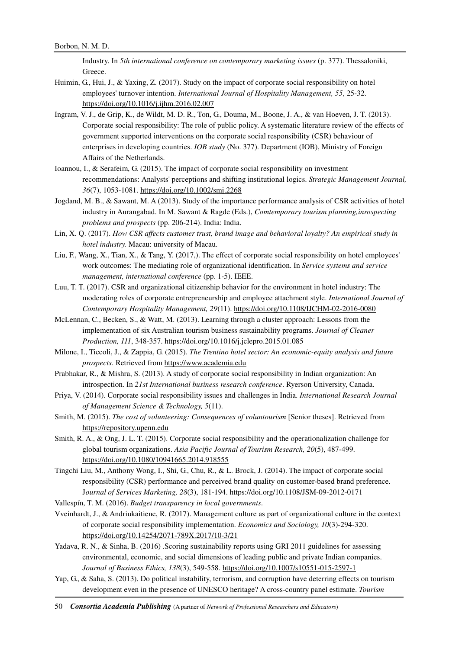Industry. In *5th international conference on contemporary marketing issues* (p. 377). Thessaloniki, Greece.

- Huimin, G., Hui, J., & Yaxing, Z. (2017). Study on the impact of corporate social responsibility on hotel employees' turnover intention. *International Journal of Hospitality Management, 55*, 25-32. https://doi.org/10.1016/j.ijhm.2016.02.007
- Ingram, V. J., de Grip, K., de Wildt, M. D. R., Ton, G., Douma, M., Boone, J. A., & van Hoeven, J. T. (2013). Corporate social responsibility: The role of public policy. A systematic literature review of the effects of government supported interventions on the corporate social responsibility (CSR) behaviour of enterprises in developing countries. *IOB study* (No. 377). Department (IOB), Ministry of Foreign Affairs of the Netherlands.
- Ioannou, I., & Serafeim, G. (2015). The impact of corporate social responsibility on investment recommendations: Analysts' perceptions and shifting institutional logics. *Strategic Management Journal, 36*(7), 1053-1081. https://doi.org/10.1002/smj.2268
- Jogdand, M. B., & Sawant, M. A (2013). Study of the importance performance analysis of CSR activities of hotel industry in Aurangabad. In M. Sawant & Ragde (Eds.), *Comtemporary tourism planning,inrospecting problems and prospects* (pp. 206-214). India: India.
- Lin, X. Q. (2017). *How CSR affects customer trust, brand image and behavioral loyalty? An empirical study in hotel industry.* Macau: university of Macau.
- Liu, F., Wang, X., Tian, X., & Tang, Y. (2017,). The effect of corporate social responsibility on hotel employees' work outcomes: The mediating role of organizational identification. In *Service systems and service management, international conference* (pp. 1-5). IEEE.
- Luu, T. T. (2017). CSR and organizational citizenship behavior for the environment in hotel industry: The moderating roles of corporate entrepreneurship and employee attachment style. *International Journal of Contemporary Hospitality Management, 29*(11). https://doi.org/10.1108/IJCHM-02-2016-0080
- McLennan, C., Becken, S., & Watt, M. (2013). Learning through a cluster approach: Lessons from the implementation of six Australian tourism business sustainability programs. *Journal of Cleaner Production, 111*, 348-357. https://doi.org/10.1016/j.jclepro.2015.01.085
- Milone, I., Ticcoli, J., & Zappia, G. (2015). *The Trentino hotel sector: An economic-equity analysis and future prospects*. Retrieved from https://www.academia.edu
- Prabhakar, R., & Mishra, S. (2013). A study of corporate social responsibility in Indian organization: An introspection. In *21st International business research conference*. Ryerson University, Canada.
- Priya, V. (2014). Corporate social responsibility issues and challenges in India. *International Research Journal of Management Science & Technology, 5*(11).
- Smith, M. (2015). *The cost of volunteering: Consequences of voluntourism* [Senior theses]. Retrieved from https://repository.upenn.edu
- Smith, R. A., & Ong, J. L. T. (2015). Corporate social responsibility and the operationalization challenge for global tourism organizations. *Asia Pacific Journal of Tourism Research, 20*(5), 487-499. https://doi.org/10.1080/10941665.2014.918555
- Tingchi Liu, M., Anthony Wong, I., Shi, G., Chu, R., & L. Brock, J. (2014). The impact of corporate social responsibility (CSR) performance and perceived brand quality on customer-based brand preference. J*ournal of Services Marketing, 28*(3), 181-194. https://doi.org/10.1108/JSM-09-2012-0171
- Vallespín, T. M. (2016). *Budget transparency in local governments*.
- Vveinhardt, J., & Andriukaitiene, R. (2017). Management culture as part of organizational culture in the context of corporate social responsibility implementation. *Economics and Sociology, 10*(3)-294-320. https://doi.org/10.14254/2071-789X.2017/10-3/21
- Yadava, R. N., & Sinha, B. (2016) .Scoring sustainability reports using GRI 2011 guidelines for assessing environmental, economic, and social dimensions of leading public and private Indian companies. *Journal of Business Ethics, 138*(3), 549-558. https://doi.org/10.1007/s10551-015-2597-1
- Yap, G., & Saha, S. (2013). Do political instability, terrorism, and corruption have deterring effects on tourism development even in the presence of UNESCO heritage? A cross-country panel estimate. *Tourism*